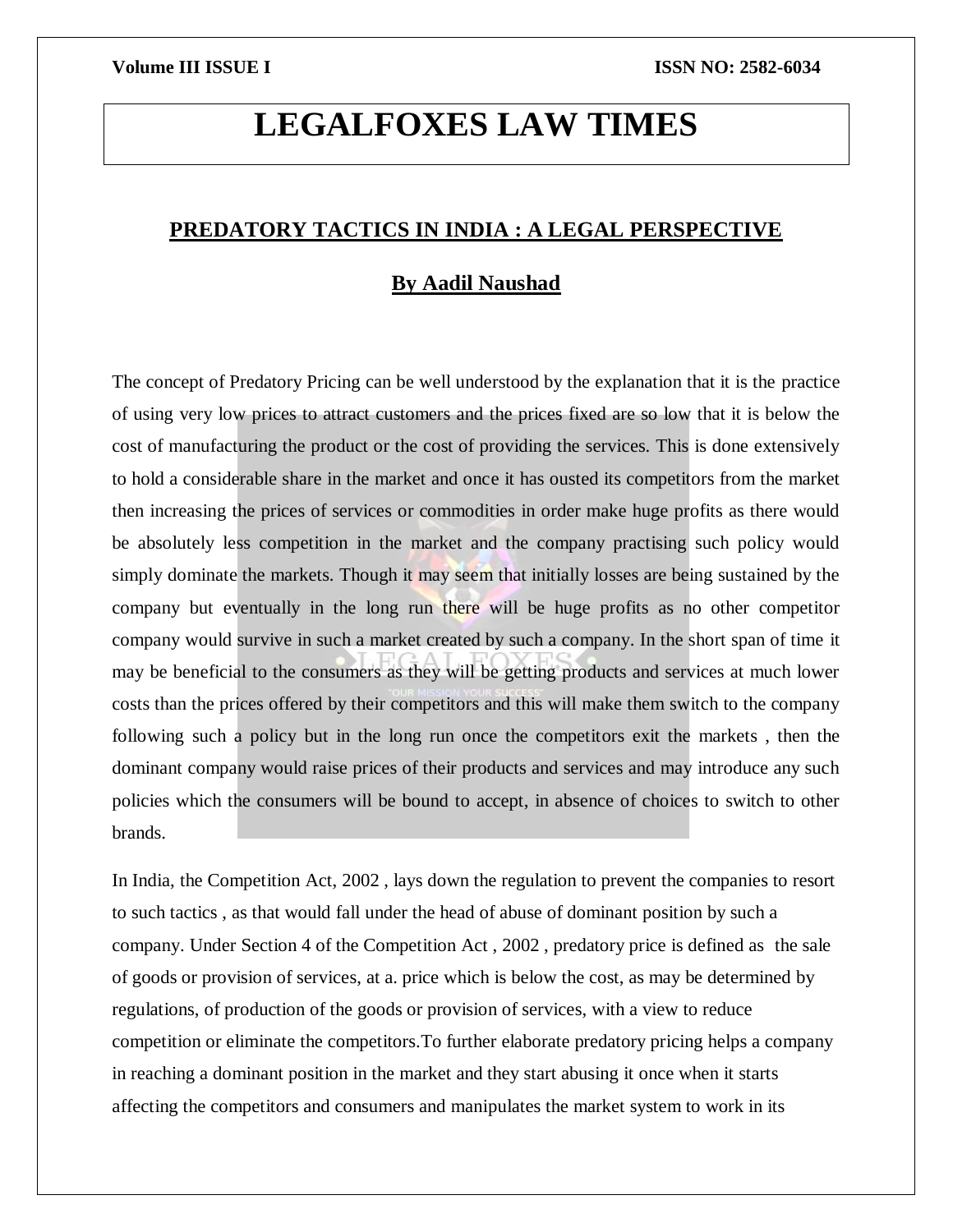# **LEGALFOXES LAW TIMES**

# **PREDATORY TACTICS IN INDIA : A LEGAL PERSPECTIVE**

# **By Aadil Naushad**

The concept of Predatory Pricing can be well understood by the explanation that it is the practice of using very low prices to attract customers and the prices fixed are so low that it is below the cost of manufacturing the product or the cost of providing the services. This is done extensively to hold a considerable share in the market and once it has ousted its competitors from the market then increasing the prices of services or commodities in order make huge profits as there would be absolutely less competition in the market and the company practising such policy would simply dominate the markets. Though it may seem that initially losses are being sustained by the company but eventually in the long run there will be huge profits as no other competitor company would survive in such a market created by such a company. In the short span of time it may be beneficial to the consumers as they will be getting products and services at much lower costs than the prices offered by their competitors and this will make them switch to the company following such a policy but in the long run once the competitors exit the markets , then the dominant company would raise prices of their products and services and may introduce any such policies which the consumers will be bound to accept, in absence of choices to switch to other brands.

In India, the Competition Act, 2002 , lays down the regulation to prevent the companies to resort to such tactics , as that would fall under the head of abuse of dominant position by such a company. Under Section 4 of the Competition Act , 2002 , predatory price is defined as the sale of goods or provision of services, at a. price which is below the cost, as may be determined by regulations, of production of the goods or provision of services, with a view to reduce competition or eliminate the competitors.To further elaborate predatory pricing helps a company in reaching a dominant position in the market and they start abusing it once when it starts affecting the competitors and consumers and manipulates the market system to work in its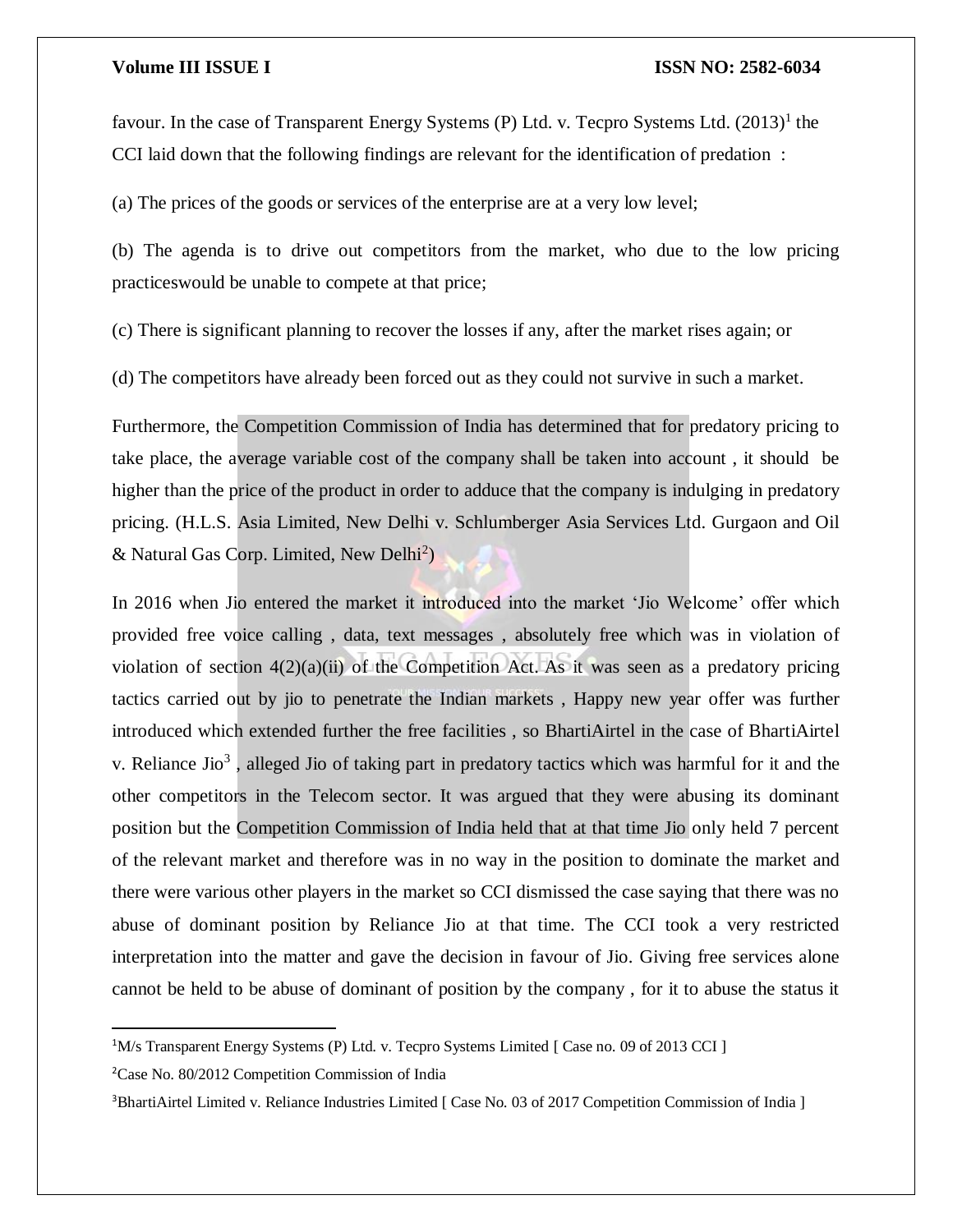favour. In the case of Transparent Energy Systems (P) Ltd. v. Tecpro Systems Ltd.  $(2013)^1$  the CCI laid down that the following findings are relevant for the identification of predation :

(a) The prices of the goods or services of the enterprise are at a very low level;

(b) The agenda is to drive out competitors from the market, who due to the low pricing practiceswould be unable to compete at that price;

(c) There is significant planning to recover the losses if any, after the market rises again; or

(d) The competitors have already been forced out as they could not survive in such a market.

Furthermore, the Competition Commission of India has determined that for predatory pricing to take place, the average variable cost of the company shall be taken into account , it should be higher than the price of the product in order to adduce that the company is indulging in predatory pricing. (H.L.S. Asia Limited, New Delhi v. Schlumberger Asia Services Ltd. Gurgaon and Oil & Natural Gas Corp. Limited, New Delhi<sup>2</sup>)

In 2016 when Jio entered the market it introduced into the market 'Jio Welcome' offer which provided free voice calling , data, text messages , absolutely free which was in violation of violation of section  $4(2)(a)(ii)$  of the Competition Act. As it was seen as a predatory pricing tactics carried out by jio to penetrate the Indian markets , Happy new year offer was further introduced which extended further the free facilities , so BhartiAirtel in the case of BhartiAirtel v. Reliance Jio<sup>3</sup>, alleged Jio of taking part in predatory tactics which was harmful for it and the other competitors in the Telecom sector. It was argued that they were abusing its dominant position but the Competition Commission of India held that at that time Jio only held 7 percent of the relevant market and therefore was in no way in the position to dominate the market and there were various other players in the market so CCI dismissed the case saying that there was no abuse of dominant position by Reliance Jio at that time. The CCI took a very restricted interpretation into the matter and gave the decision in favour of Jio. Giving free services alone cannot be held to be abuse of dominant of position by the company , for it to abuse the status it

 $\overline{\phantom{a}}$ 

<sup>&</sup>lt;sup>1</sup>M/s Transparent Energy Systems (P) Ltd. v. Tecpro Systems Limited [ Case no. 09 of 2013 CCI ]

<sup>2</sup>Case No. 80/2012 Competition Commission of India

<sup>&</sup>lt;sup>3</sup>BhartiAirtel Limited v. Reliance Industries Limited [ Case No. 03 of 2017 Competition Commission of India ]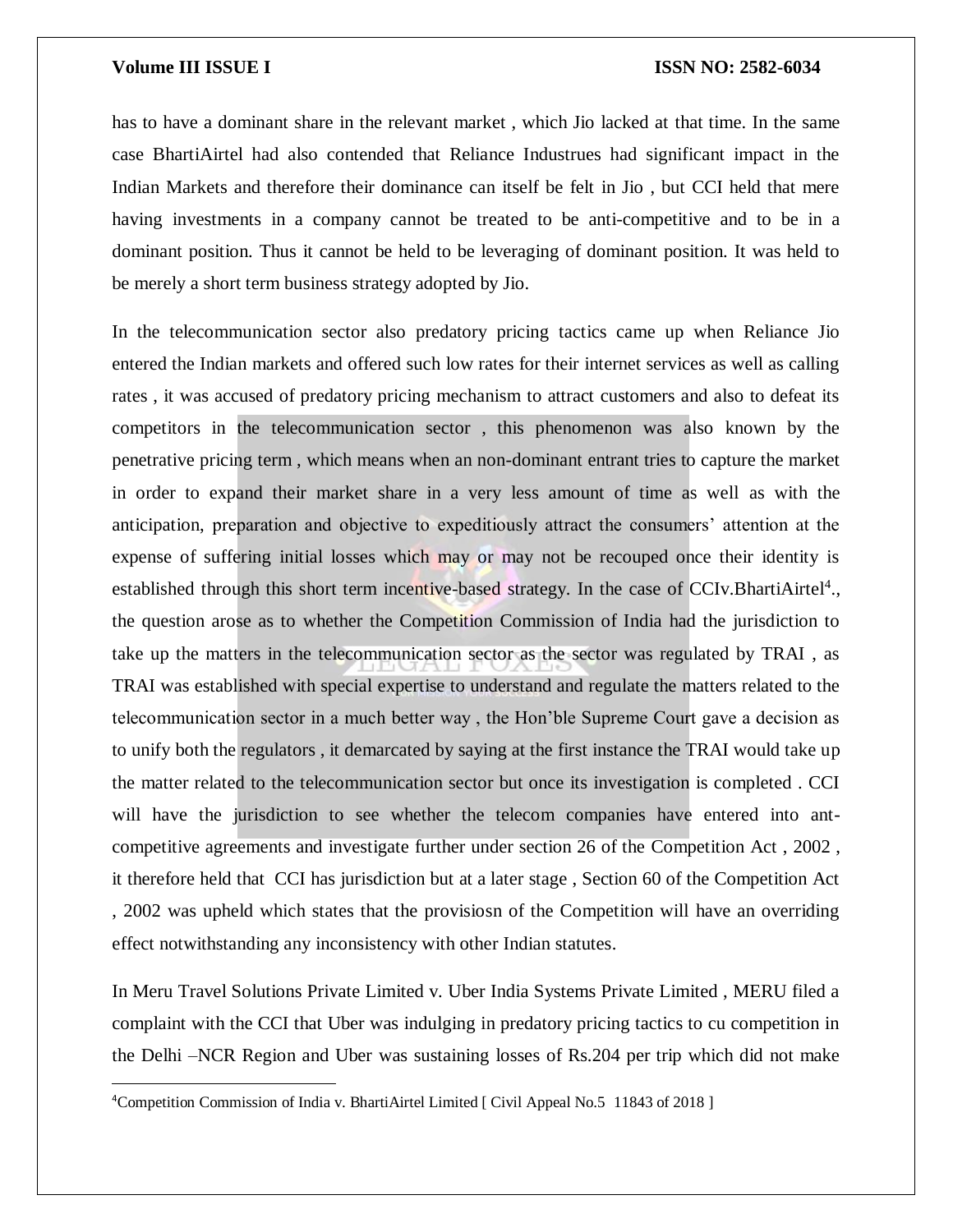$\overline{a}$ 

has to have a dominant share in the relevant market , which Jio lacked at that time. In the same case BhartiAirtel had also contended that Reliance Industrues had significant impact in the Indian Markets and therefore their dominance can itself be felt in Jio , but CCI held that mere having investments in a company cannot be treated to be anti-competitive and to be in a dominant position. Thus it cannot be held to be leveraging of dominant position. It was held to be merely a short term business strategy adopted by Jio.

In the telecommunication sector also predatory pricing tactics came up when Reliance Jio entered the Indian markets and offered such low rates for their internet services as well as calling rates , it was accused of predatory pricing mechanism to attract customers and also to defeat its competitors in the telecommunication sector , this phenomenon was also known by the penetrative pricing term , which means when an non-dominant entrant tries to capture the market in order to expand their market share in a very less amount of time as well as with the anticipation, preparation and objective to expeditiously attract the consumers' attention at the expense of suffering initial losses which may or may not be recouped once their identity is established through this short term incentive-based strategy. In the case of CCIv.BhartiAirtel<sup>4</sup>., the question arose as to whether the Competition Commission of India had the jurisdiction to take up the matters in the telecommunication sector as the sector was regulated by TRAI , as TRAI was established with special expertise to understand and regulate the matters related to the telecommunication sector in a much better way , the Hon'ble Supreme Court gave a decision as to unify both the regulators , it demarcated by saying at the first instance the TRAI would take up the matter related to the telecommunication sector but once its investigation is completed . CCI will have the jurisdiction to see whether the telecom companies have entered into antcompetitive agreements and investigate further under section 26 of the Competition Act , 2002 , it therefore held that CCI has jurisdiction but at a later stage , Section 60 of the Competition Act , 2002 was upheld which states that the provisiosn of the Competition will have an overriding effect notwithstanding any inconsistency with other Indian statutes.

In Meru Travel Solutions Private Limited v. Uber India Systems Private Limited , MERU filed a complaint with the CCI that Uber was indulging in predatory pricing tactics to cu competition in the Delhi –NCR Region and Uber was sustaining losses of Rs.204 per trip which did not make

<sup>4</sup>Competition Commission of India v. BhartiAirtel Limited [ Civil Appeal No.5 11843 of 2018 ]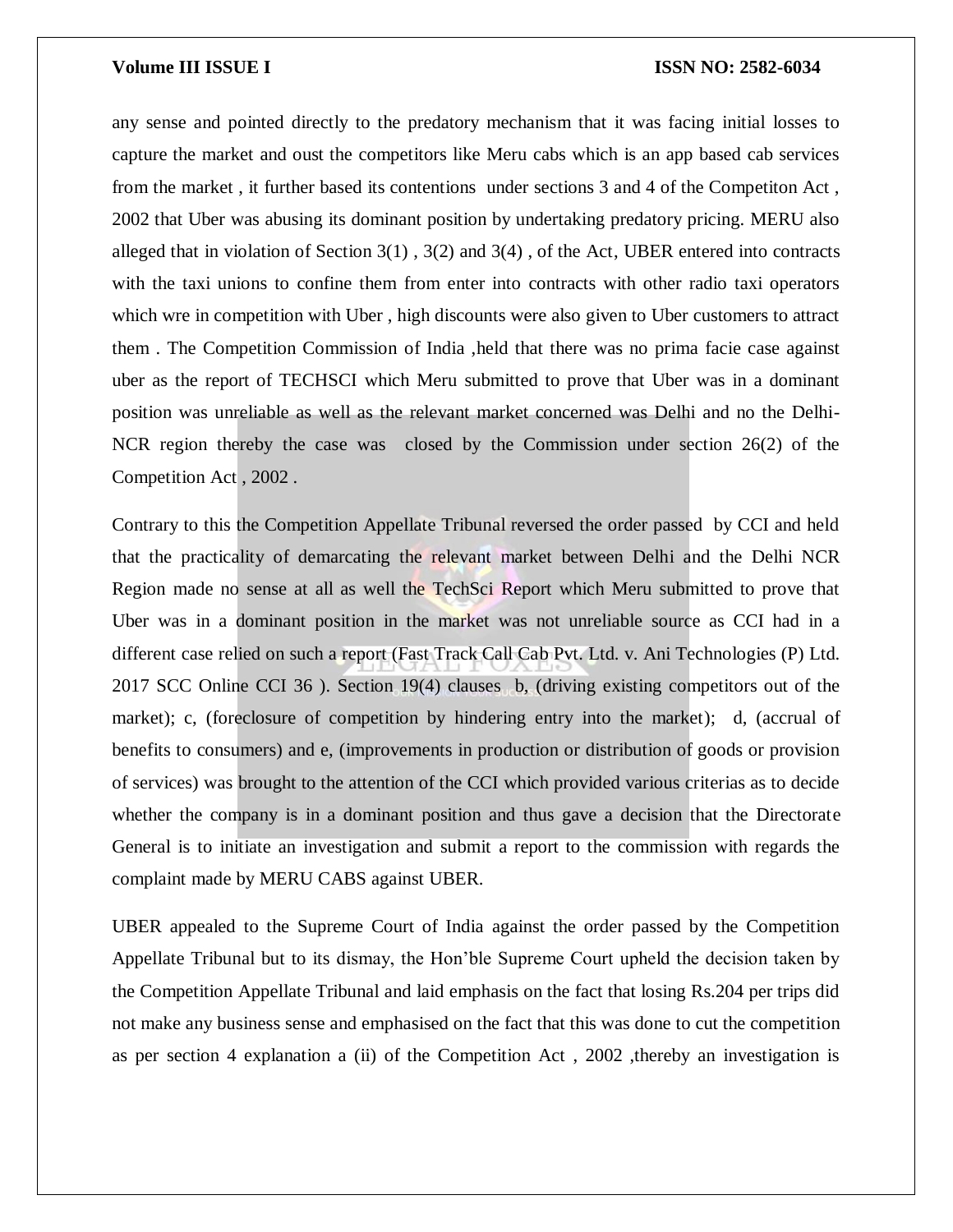any sense and pointed directly to the predatory mechanism that it was facing initial losses to capture the market and oust the competitors like Meru cabs which is an app based cab services from the market , it further based its contentions under sections 3 and 4 of the Competiton Act , 2002 that Uber was abusing its dominant position by undertaking predatory pricing. MERU also alleged that in violation of Section 3(1) , 3(2) and 3(4) , of the Act, UBER entered into contracts with the taxi unions to confine them from enter into contracts with other radio taxi operators which wre in competition with Uber , high discounts were also given to Uber customers to attract them . The Competition Commission of India ,held that there was no prima facie case against uber as the report of TECHSCI which Meru submitted to prove that Uber was in a dominant position was unreliable as well as the relevant market concerned was Delhi and no the Delhi-NCR region thereby the case was closed by the Commission under section 26(2) of the Competition Act , 2002 .

Contrary to this the Competition Appellate Tribunal reversed the order passed by CCI and held that the practicality of demarcating the relevant market between Delhi and the Delhi NCR Region made no sense at all as well the TechSci Report which Meru submitted to prove that Uber was in a dominant position in the market was not unreliable source as CCI had in a different case relied on such a report (Fast Track Call Cab Pvt. Ltd. v. Ani Technologies (P) Ltd. 2017 SCC Online CCI 36 ). Section 19(4) clauses b, (driving existing competitors out of the market); c, (foreclosure of competition by hindering entry into the market); d, (accrual of benefits to consumers) and e, (improvements in production or distribution of goods or provision of services) was brought to the attention of the CCI which provided various criterias as to decide whether the company is in a dominant position and thus gave a decision that the Directorate General is to initiate an investigation and submit a report to the commission with regards the complaint made by MERU CABS against UBER.

UBER appealed to the Supreme Court of India against the order passed by the Competition Appellate Tribunal but to its dismay, the Hon'ble Supreme Court upheld the decision taken by the Competition Appellate Tribunal and laid emphasis on the fact that losing Rs.204 per trips did not make any business sense and emphasised on the fact that this was done to cut the competition as per section 4 explanation a (ii) of the Competition Act , 2002 ,thereby an investigation is